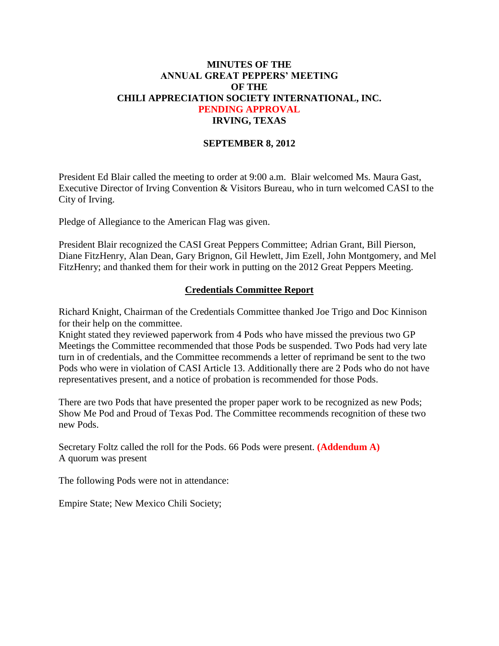# **MINUTES OF THE ANNUAL GREAT PEPPERS' MEETING OF THE CHILI APPRECIATION SOCIETY INTERNATIONAL, INC. PENDING APPROVAL IRVING, TEXAS**

#### **SEPTEMBER 8, 2012**

President Ed Blair called the meeting to order at 9:00 a.m. Blair welcomed Ms. Maura Gast, Executive Director of Irving Convention & Visitors Bureau, who in turn welcomed CASI to the City of Irving.

Pledge of Allegiance to the American Flag was given.

President Blair recognized the CASI Great Peppers Committee; Adrian Grant, Bill Pierson, Diane FitzHenry, Alan Dean, Gary Brignon, Gil Hewlett, Jim Ezell, John Montgomery, and Mel FitzHenry; and thanked them for their work in putting on the 2012 Great Peppers Meeting.

#### **Credentials Committee Report**

Richard Knight, Chairman of the Credentials Committee thanked Joe Trigo and Doc Kinnison for their help on the committee.

Knight stated they reviewed paperwork from 4 Pods who have missed the previous two GP Meetings the Committee recommended that those Pods be suspended. Two Pods had very late turn in of credentials, and the Committee recommends a letter of reprimand be sent to the two Pods who were in violation of CASI Article 13. Additionally there are 2 Pods who do not have representatives present, and a notice of probation is recommended for those Pods.

There are two Pods that have presented the proper paper work to be recognized as new Pods; Show Me Pod and Proud of Texas Pod. The Committee recommends recognition of these two new Pods.

Secretary Foltz called the roll for the Pods. 66 Pods were present. **(Addendum A)** A quorum was present

The following Pods were not in attendance:

Empire State; New Mexico Chili Society;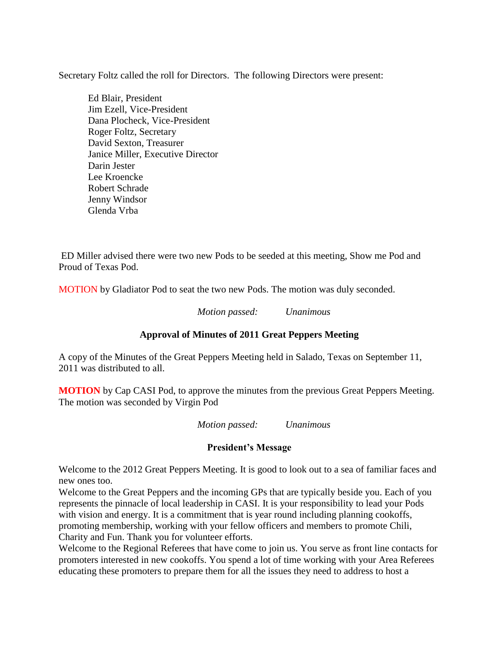Secretary Foltz called the roll for Directors. The following Directors were present:

Ed Blair, President Jim Ezell, Vice-President Dana Plocheck, Vice-President Roger Foltz, Secretary David Sexton, Treasurer Janice Miller, Executive Director Darin Jester Lee Kroencke Robert Schrade Jenny Windsor Glenda Vrba

ED Miller advised there were two new Pods to be seeded at this meeting, Show me Pod and Proud of Texas Pod.

MOTION by Gladiator Pod to seat the two new Pods. The motion was duly seconded.

*Motion passed: Unanimous*

# **Approval of Minutes of 2011 Great Peppers Meeting**

A copy of the Minutes of the Great Peppers Meeting held in Salado, Texas on September 11, 2011 was distributed to all.

**MOTION** by Cap CASI Pod, to approve the minutes from the previous Great Peppers Meeting. The motion was seconded by Virgin Pod

*Motion passed: Unanimous*

#### **President's Message**

Welcome to the 2012 Great Peppers Meeting. It is good to look out to a sea of familiar faces and new ones too.

Welcome to the Great Peppers and the incoming GPs that are typically beside you. Each of you represents the pinnacle of local leadership in CASI. It is your responsibility to lead your Pods with vision and energy. It is a commitment that is year round including planning cookoffs, promoting membership, working with your fellow officers and members to promote Chili, Charity and Fun. Thank you for volunteer efforts.

Welcome to the Regional Referees that have come to join us. You serve as front line contacts for promoters interested in new cookoffs. You spend a lot of time working with your Area Referees educating these promoters to prepare them for all the issues they need to address to host a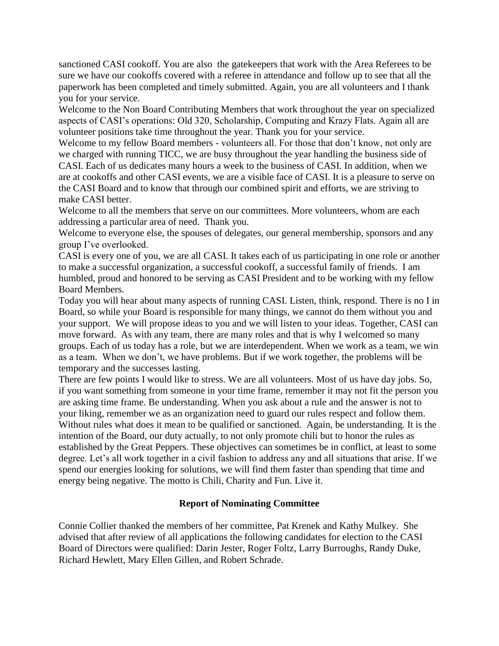sanctioned CASI cookoff. You are also the gatekeepers that work with the Area Referees to be sure we have our cookoffs covered with a referee in attendance and follow up to see that all the paperwork has been completed and timely submitted. Again, you are all volunteers and I thank you for your service.

Welcome to the Non Board Contributing Members that work throughout the year on specialized aspects of CASI's operations: Old 320, Scholarship, Computing and Krazy Flats. Again all are volunteer positions take time throughout the year. Thank you for your service.

Welcome to my fellow Board members - volunteers all. For those that don't know, not only are we charged with running TICC, we are busy throughout the year handling the business side of CASI. Each of us dedicates many hours a week to the business of CASI. In addition, when we are at cookoffs and other CASI events, we are a visible face of CASI. It is a pleasure to serve on the CASI Board and to know that through our combined spirit and efforts, we are striving to make CASI better.

Welcome to all the members that serve on our committees. More volunteers, whom are each addressing a particular area of need. Thank you.

Welcome to everyone else, the spouses of delegates, our general membership, sponsors and any group I've overlooked.

CASI is every one of you, we are all CASI. It takes each of us participating in one role or another to make a successful organization, a successful cookoff, a successful family of friends. I am humbled, proud and honored to be serving as CASI President and to be working with my fellow Board Members.

Today you will hear about many aspects of running CASI. Listen, think, respond. There is no I in Board, so while your Board is responsible for many things, we cannot do them without you and your support. We will propose ideas to you and we will listen to your ideas. Together, CASI can move forward. As with any team, there are many roles and that is why I welcomed so many groups. Each of us today has a role, but we are interdependent. When we work as a team, we win as a team. When we don't, we have problems. But if we work together, the problems will be temporary and the successes lasting.

There are few points I would like to stress. We are all volunteers. Most of us have day jobs. So, if you want something from someone in your time frame, remember it may not fit the person you are asking time frame. Be understanding. When you ask about a rule and the answer is not to your liking, remember we as an organization need to guard our rules respect and follow them. Without rules what does it mean to be qualified or sanctioned. Again, be understanding. It is the intention of the Board, our duty actually, to not only promote chili but to honor the rules as established by the Great Peppers. These objectives can sometimes be in conflict, at least to some degree. Let's all work together in a civil fashion to address any and all situations that arise. If we spend our energies looking for solutions, we will find them faster than spending that time and energy being negative. The motto is Chili, Charity and Fun. Live it.

#### **Report of Nominating Committee**

Connie Collier thanked the members of her committee, Pat Krenek and Kathy Mulkey. She advised that after review of all applications the following candidates for election to the CASI Board of Directors were qualified: Darin Jester, Roger Foltz, Larry Burroughs, Randy Duke, Richard Hewlett, Mary Ellen Gillen, and Robert Schrade.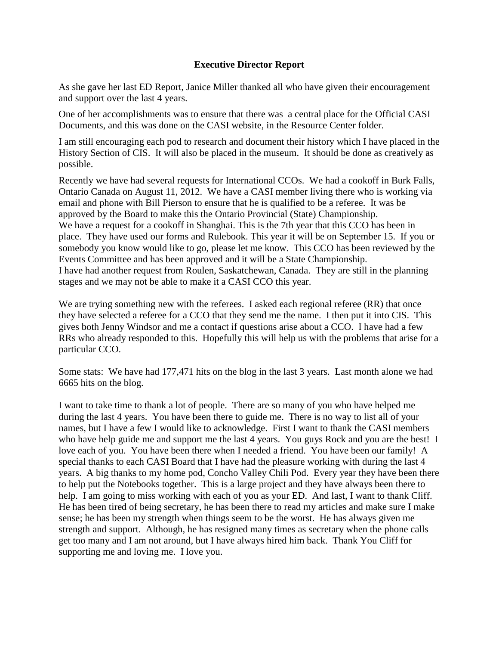#### **Executive Director Report**

As she gave her last ED Report, Janice Miller thanked all who have given their encouragement and support over the last 4 years.

One of her accomplishments was to ensure that there was a central place for the Official CASI Documents, and this was done on the CASI website, in the Resource Center folder.

I am still encouraging each pod to research and document their history which I have placed in the History Section of CIS. It will also be placed in the museum. It should be done as creatively as possible.

Recently we have had several requests for International CCOs. We had a cookoff in Burk Falls, Ontario Canada on August 11, 2012. We have a CASI member living there who is working via email and phone with Bill Pierson to ensure that he is qualified to be a referee. It was be approved by the Board to make this the Ontario Provincial (State) Championship. We have a request for a cookoff in Shanghai. This is the 7th year that this CCO has been in place. They have used our forms and Rulebook. This year it will be on September 15. If you or somebody you know would like to go, please let me know. This CCO has been reviewed by the Events Committee and has been approved and it will be a State Championship. I have had another request from Roulen, Saskatchewan, Canada. They are still in the planning stages and we may not be able to make it a CASI CCO this year.

We are trying something new with the referees. I asked each regional referee (RR) that once they have selected a referee for a CCO that they send me the name. I then put it into CIS. This gives both Jenny Windsor and me a contact if questions arise about a CCO. I have had a few RRs who already responded to this. Hopefully this will help us with the problems that arise for a particular CCO.

Some stats: We have had 177,471 hits on the blog in the last 3 years. Last month alone we had 6665 hits on the blog.

I want to take time to thank a lot of people. There are so many of you who have helped me during the last 4 years. You have been there to guide me. There is no way to list all of your names, but I have a few I would like to acknowledge. First I want to thank the CASI members who have help guide me and support me the last 4 years. You guys Rock and you are the best! I love each of you. You have been there when I needed a friend. You have been our family! A special thanks to each CASI Board that I have had the pleasure working with during the last 4 years. A big thanks to my home pod, Concho Valley Chili Pod. Every year they have been there to help put the Notebooks together. This is a large project and they have always been there to help. I am going to miss working with each of you as your ED. And last, I want to thank Cliff. He has been tired of being secretary, he has been there to read my articles and make sure I make sense; he has been my strength when things seem to be the worst. He has always given me strength and support. Although, he has resigned many times as secretary when the phone calls get too many and I am not around, but I have always hired him back. Thank You Cliff for supporting me and loving me. I love you.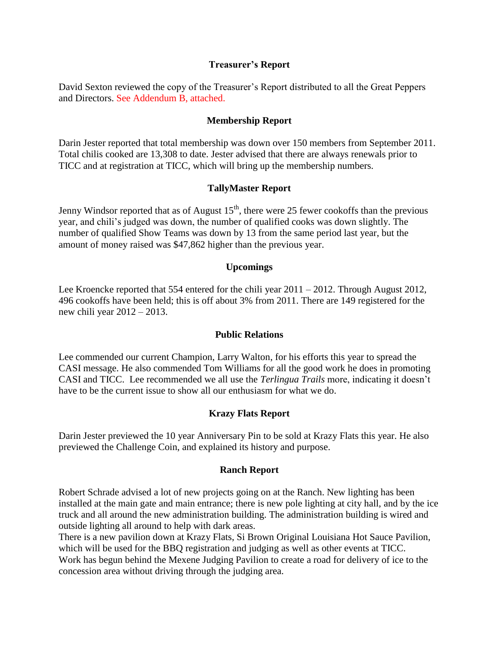#### **Treasurer's Report**

David Sexton reviewed the copy of the Treasurer's Report distributed to all the Great Peppers and Directors. See Addendum B, attached.

#### **Membership Report**

Darin Jester reported that total membership was down over 150 members from September 2011. Total chilis cooked are 13,308 to date. Jester advised that there are always renewals prior to TICC and at registration at TICC, which will bring up the membership numbers.

#### **TallyMaster Report**

Jenny Windsor reported that as of August  $15<sup>th</sup>$ , there were 25 fewer cookoffs than the previous year, and chili's judged was down, the number of qualified cooks was down slightly. The number of qualified Show Teams was down by 13 from the same period last year, but the amount of money raised was \$47,862 higher than the previous year.

#### **Upcomings**

Lee Kroencke reported that 554 entered for the chili year 2011 – 2012. Through August 2012, 496 cookoffs have been held; this is off about 3% from 2011. There are 149 registered for the new chili year 2012 – 2013.

#### **Public Relations**

Lee commended our current Champion, Larry Walton, for his efforts this year to spread the CASI message. He also commended Tom Williams for all the good work he does in promoting CASI and TICC. Lee recommended we all use the *Terlingua Trails* more, indicating it doesn't have to be the current issue to show all our enthusiasm for what we do.

# **Krazy Flats Report**

Darin Jester previewed the 10 year Anniversary Pin to be sold at Krazy Flats this year. He also previewed the Challenge Coin, and explained its history and purpose.

#### **Ranch Report**

Robert Schrade advised a lot of new projects going on at the Ranch. New lighting has been installed at the main gate and main entrance; there is new pole lighting at city hall, and by the ice truck and all around the new administration building. The administration building is wired and outside lighting all around to help with dark areas.

There is a new pavilion down at Krazy Flats, Si Brown Original Louisiana Hot Sauce Pavilion, which will be used for the BBQ registration and judging as well as other events at TICC. Work has begun behind the Mexene Judging Pavilion to create a road for delivery of ice to the concession area without driving through the judging area.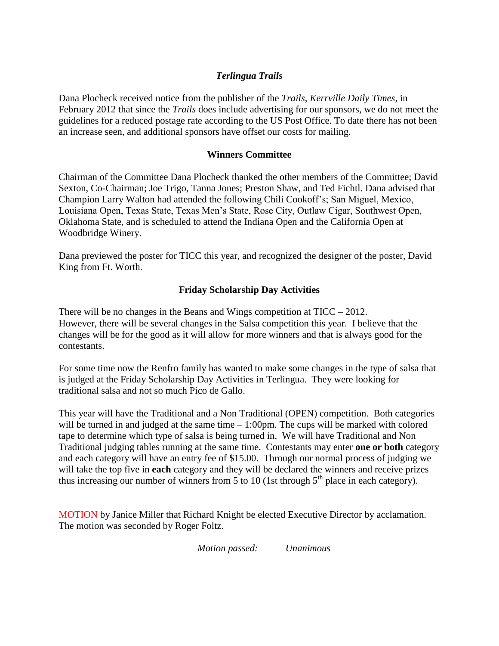# *Terlingua Trails*

Dana Plocheck received notice from the publisher of the *Trails*, *Kerrville Daily Times,* in February 2012 that since the *Trails* does include advertising for our sponsors, we do not meet the guidelines for a reduced postage rate according to the US Post Office. To date there has not been an increase seen, and additional sponsors have offset our costs for mailing.

#### **Winners Committee**

Chairman of the Committee Dana Plocheck thanked the other members of the Committee; David Sexton, Co-Chairman; Joe Trigo, Tanna Jones; Preston Shaw, and Ted Fichtl. Dana advised that Champion Larry Walton had attended the following Chili Cookoff's; San Miguel, Mexico, Louisiana Open, Texas State, Texas Men's State, Rose City, Outlaw Cigar, Southwest Open, Oklahoma State, and is scheduled to attend the Indiana Open and the California Open at Woodbridge Winery.

Dana previewed the poster for TICC this year, and recognized the designer of the poster, David King from Ft. Worth.

#### **Friday Scholarship Day Activities**

There will be no changes in the Beans and Wings competition at  $TICC - 2012$ . However, there will be several changes in the Salsa competition this year. I believe that the changes will be for the good as it will allow for more winners and that is always good for the contestants.

For some time now the Renfro family has wanted to make some changes in the type of salsa that is judged at the Friday Scholarship Day Activities in Terlingua. They were looking for traditional salsa and not so much Pico de Gallo.

This year will have the Traditional and a Non Traditional (OPEN) competition. Both categories will be turned in and judged at the same time  $-1:00$  pm. The cups will be marked with colored tape to determine which type of salsa is being turned in. We will have Traditional and Non Traditional judging tables running at the same time. Contestants may enter **one or both** category and each category will have an entry fee of \$15.00. Through our normal process of judging we will take the top five in **each** category and they will be declared the winners and receive prizes thus increasing our number of winners from 5 to 10 (1st through  $5<sup>th</sup>$  place in each category).

MOTION by Janice Miller that Richard Knight be elected Executive Director by acclamation. The motion was seconded by Roger Foltz.

*Motion passed: Unanimous*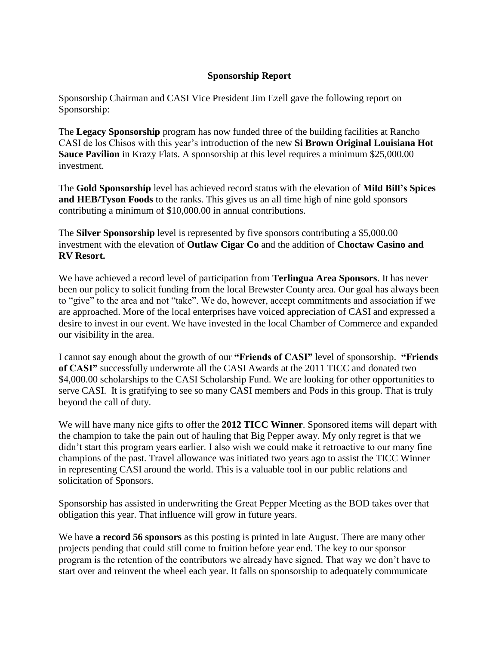#### **Sponsorship Report**

Sponsorship Chairman and CASI Vice President Jim Ezell gave the following report on Sponsorship:

The **Legacy Sponsorship** program has now funded three of the building facilities at Rancho CASI de los Chisos with this year's introduction of the new **Si Brown Original Louisiana Hot Sauce Pavilion** in Krazy Flats. A sponsorship at this level requires a minimum \$25,000.00 investment.

The **Gold Sponsorship** level has achieved record status with the elevation of **Mild Bill's Spices and HEB/Tyson Foods** to the ranks. This gives us an all time high of nine gold sponsors contributing a minimum of \$10,000.00 in annual contributions.

The **Silver Sponsorship** level is represented by five sponsors contributing a \$5,000.00 investment with the elevation of **Outlaw Cigar Co** and the addition of **Choctaw Casino and RV Resort.**

We have achieved a record level of participation from **Terlingua Area Sponsors**. It has never been our policy to solicit funding from the local Brewster County area. Our goal has always been to "give" to the area and not "take". We do, however, accept commitments and association if we are approached. More of the local enterprises have voiced appreciation of CASI and expressed a desire to invest in our event. We have invested in the local Chamber of Commerce and expanded our visibility in the area.

I cannot say enough about the growth of our **"Friends of CASI"** level of sponsorship. **"Friends of CASI"** successfully underwrote all the CASI Awards at the 2011 TICC and donated two \$4,000.00 scholarships to the CASI Scholarship Fund. We are looking for other opportunities to serve CASI. It is gratifying to see so many CASI members and Pods in this group. That is truly beyond the call of duty.

We will have many nice gifts to offer the **2012 TICC Winner**. Sponsored items will depart with the champion to take the pain out of hauling that Big Pepper away. My only regret is that we didn't start this program years earlier. I also wish we could make it retroactive to our many fine champions of the past. Travel allowance was initiated two years ago to assist the TICC Winner in representing CASI around the world. This is a valuable tool in our public relations and solicitation of Sponsors.

Sponsorship has assisted in underwriting the Great Pepper Meeting as the BOD takes over that obligation this year. That influence will grow in future years.

We have **a record 56 sponsors** as this posting is printed in late August. There are many other projects pending that could still come to fruition before year end. The key to our sponsor program is the retention of the contributors we already have signed. That way we don't have to start over and reinvent the wheel each year. It falls on sponsorship to adequately communicate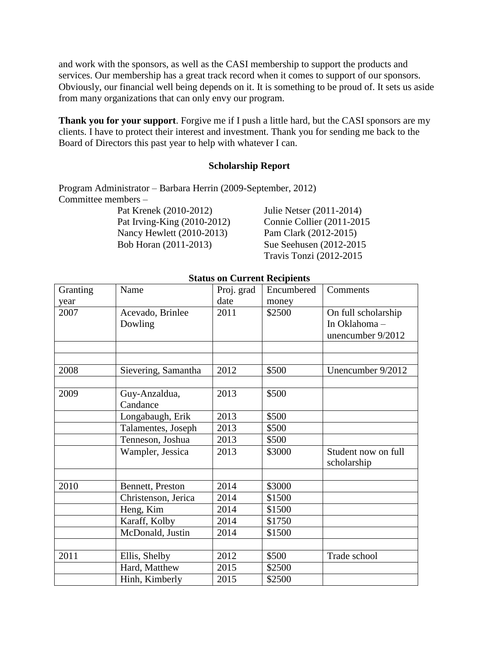and work with the sponsors, as well as the CASI membership to support the products and services. Our membership has a great track record when it comes to support of our sponsors. Obviously, our financial well being depends on it. It is something to be proud of. It sets us aside from many organizations that can only envy our program.

**Thank you for your support**. Forgive me if I push a little hard, but the CASI sponsors are my clients. I have to protect their interest and investment. Thank you for sending me back to the Board of Directors this past year to help with whatever I can.

#### **Scholarship Report**

Program Administrator – Barbara Herrin (2009-September, 2012) Committee members –

> Pat Krenek (2010-2012) Julie Netser (2011-2014) Pat Irving-King (2010-2012) Connie Collier (2011-2015 Nancy Hewlett (2010-2013) Pam Clark (2012-2015) Bob Horan (2011-2013) Sue Seehusen (2012-2015

Travis Tonzi (2012-2015

| Granting | Name                | Proj. grad | Encumbered | Comments            |
|----------|---------------------|------------|------------|---------------------|
| year     |                     | date       | money      |                     |
| 2007     | Acevado, Brinlee    | 2011       | \$2500     | On full scholarship |
|          | Dowling             |            |            | In Oklahoma-        |
|          |                     |            |            | unencumber 9/2012   |
|          |                     |            |            |                     |
|          |                     |            |            |                     |
| 2008     | Sievering, Samantha | 2012       | \$500      | Unencumber 9/2012   |
|          |                     |            |            |                     |
| 2009     | Guy-Anzaldua,       | 2013       | \$500      |                     |
|          | Candance            |            |            |                     |
|          | Longabaugh, Erik    | 2013       | \$500      |                     |
|          | Talamentes, Joseph  | 2013       | \$500      |                     |
|          | Tenneson, Joshua    | 2013       | \$500      |                     |
|          | Wampler, Jessica    | 2013       | \$3000     | Student now on full |
|          |                     |            |            | scholarship         |
|          |                     |            |            |                     |
| 2010     | Bennett, Preston    | 2014       | \$3000     |                     |
|          | Christenson, Jerica | 2014       | \$1500     |                     |
|          | Heng, Kim           | 2014       | \$1500     |                     |
|          | Karaff, Kolby       | 2014       | \$1750     |                     |
|          | McDonald, Justin    | 2014       | \$1500     |                     |
|          |                     |            |            |                     |
| 2011     | Ellis, Shelby       | 2012       | \$500      | Trade school        |
|          | Hard, Matthew       | 2015       | \$2500     |                     |
|          | Hinh, Kimberly      | 2015       | \$2500     |                     |

#### **Status on Current Recipients**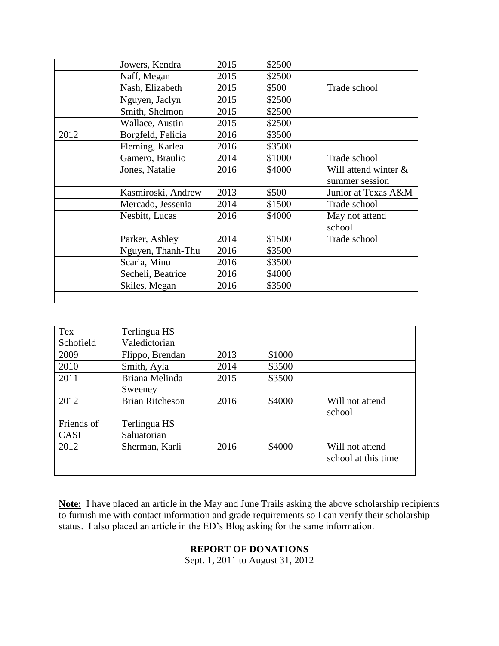|      | Jowers, Kendra     | 2015 | \$2500 |                      |
|------|--------------------|------|--------|----------------------|
|      | Naff, Megan        | 2015 | \$2500 |                      |
|      | Nash, Elizabeth    | 2015 | \$500  | Trade school         |
|      | Nguyen, Jaclyn     | 2015 | \$2500 |                      |
|      | Smith, Shelmon     | 2015 | \$2500 |                      |
|      | Wallace, Austin    | 2015 | \$2500 |                      |
| 2012 | Borgfeld, Felicia  | 2016 | \$3500 |                      |
|      | Fleming, Karlea    | 2016 | \$3500 |                      |
|      | Gamero, Braulio    | 2014 | \$1000 | Trade school         |
|      | Jones, Natalie     | 2016 | \$4000 | Will attend winter & |
|      |                    |      |        | summer session       |
|      | Kasmiroski, Andrew | 2013 | \$500  | Junior at Texas A&M  |
|      | Mercado, Jessenia  | 2014 | \$1500 | Trade school         |
|      | Nesbitt, Lucas     | 2016 | \$4000 | May not attend       |
|      |                    |      |        | school               |
|      | Parker, Ashley     | 2014 | \$1500 | Trade school         |
|      | Nguyen, Thanh-Thu  | 2016 | \$3500 |                      |
|      | Scaria, Minu       | 2016 | \$3500 |                      |
|      | Secheli, Beatrice  | 2016 | \$4000 |                      |
|      | Skiles, Megan      | 2016 | \$3500 |                      |
|      |                    |      |        |                      |

| Tex         | Terlingua HS           |      |        |                     |
|-------------|------------------------|------|--------|---------------------|
| Schofield   | Valedictorian          |      |        |                     |
| 2009        | Flippo, Brendan        | 2013 | \$1000 |                     |
| 2010        | Smith, Ayla            | 2014 | \$3500 |                     |
| 2011        | Briana Melinda         | 2015 | \$3500 |                     |
|             | Sweeney                |      |        |                     |
| 2012        | <b>Brian Ritcheson</b> | 2016 | \$4000 | Will not attend     |
|             |                        |      |        | school              |
| Friends of  | Terlingua HS           |      |        |                     |
| <b>CASI</b> | Saluatorian            |      |        |                     |
| 2012        | Sherman, Karli         | 2016 | \$4000 | Will not attend     |
|             |                        |      |        | school at this time |
|             |                        |      |        |                     |

**Note:** I have placed an article in the May and June Trails asking the above scholarship recipients to furnish me with contact information and grade requirements so I can verify their scholarship status. I also placed an article in the ED's Blog asking for the same information.

# **REPORT OF DONATIONS**

Sept. 1, 2011 to August 31, 2012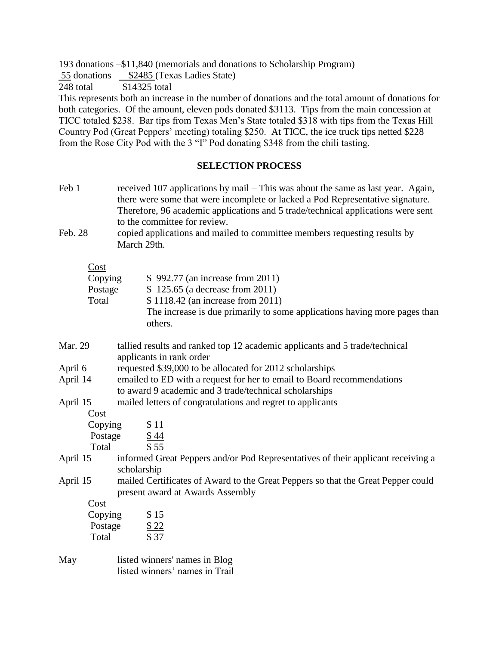193 donations –\$11,840 (memorials and donations to Scholarship Program)

55 donations – \$2485 (Texas Ladies State)

248 total \$14325 total

This represents both an increase in the number of donations and the total amount of donations for both categories. Of the amount, eleven pods donated \$3113. Tips from the main concession at TICC totaled \$238. Bar tips from Texas Men's State totaled \$318 with tips from the Texas Hill Country Pod (Great Peppers' meeting) totaling \$250. At TICC, the ice truck tips netted \$228 from the Rose City Pod with the 3 "I" Pod donating \$348 from the chili tasting.

#### **SELECTION PROCESS**

- Feb 1 received 107 applications by mail This was about the same as last year. Again, there were some that were incomplete or lacked a Pod Representative signature. Therefore, 96 academic applications and 5 trade/technical applications were sent to the committee for review.
- Feb. 28 copied applications and mailed to committee members requesting results by March 29th.

Cost

| Copying | \$992.77 (an increase from 2011)                                          |
|---------|---------------------------------------------------------------------------|
| Postage | \$125.65 (a decrease from 2011)                                           |
| Total   | \$1118.42 (an increase from 2011)                                         |
|         | The increase is due primarily to some applications having more pages than |
|         | others.                                                                   |
|         |                                                                           |

Mar. 29 tallied results and ranked top 12 academic applicants and 5 trade/technical applicants in rank order

April 6 requested \$39,000 to be allocated for 2012 scholarships

- April 14 emailed to ED with a request for her to email to Board recommendations to award 9 academic and 3 trade/technical scholarships
- April 15 mailed letters of congratulations and regret to applicants

#### Cost

| Copying  | \$11                                                                             |
|----------|----------------------------------------------------------------------------------|
| Postage  | \$44                                                                             |
| Total    | \$55                                                                             |
| April 15 | informed Great Peppers and/or Pod Representatives of their applicant receiving a |
|          | scholarship                                                                      |

April 15 mailed Certificates of Award to the Great Peppers so that the Great Pepper could present award at Awards Assembly

Cost

| Copying | \$15  |
|---------|-------|
| Postage | \$22  |
| Total   | \$ 37 |

May listed winners' names in Blog listed winners' names in Trail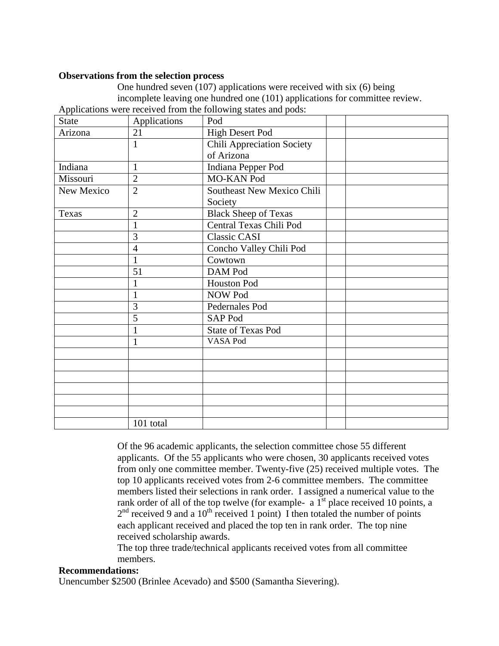#### **Observations from the selection process**

One hundred seven (107) applications were received with six (6) being incomplete leaving one hundred one (101) applications for committee review. Applications were received from the following states and pods:

| $\mathbf{r}$<br>State | Applications   | $\sim$<br>Pod                     |  |
|-----------------------|----------------|-----------------------------------|--|
|                       |                |                                   |  |
| Arizona               | 21             | <b>High Desert Pod</b>            |  |
|                       | $\mathbf{1}$   | <b>Chili Appreciation Society</b> |  |
|                       |                | of Arizona                        |  |
| Indiana               | $\mathbf{1}$   | Indiana Pepper Pod                |  |
| Missouri              | $\overline{2}$ | MO-KAN Pod                        |  |
| New Mexico            | $\overline{2}$ | Southeast New Mexico Chili        |  |
|                       |                | Society                           |  |
| Texas                 | $\overline{2}$ | <b>Black Sheep of Texas</b>       |  |
|                       | 1              | Central Texas Chili Pod           |  |
|                       | 3              | Classic CASI                      |  |
|                       | $\overline{4}$ | Concho Valley Chili Pod           |  |
|                       | $\mathbf{1}$   | Cowtown                           |  |
|                       | 51             | DAM Pod                           |  |
|                       | 1              | Houston Pod                       |  |
|                       | 1              | NOW Pod                           |  |
|                       | 3              | Pedernales Pod                    |  |
|                       | 5              | SAP Pod                           |  |
|                       |                | <b>State of Texas Pod</b>         |  |
|                       | 1              | VASA Pod                          |  |
|                       |                |                                   |  |
|                       |                |                                   |  |
|                       |                |                                   |  |
|                       |                |                                   |  |
|                       |                |                                   |  |
|                       |                |                                   |  |
|                       | 101 total      |                                   |  |

Of the 96 academic applicants, the selection committee chose 55 different applicants. Of the 55 applicants who were chosen, 30 applicants received votes from only one committee member. Twenty-five (25) received multiple votes. The top 10 applicants received votes from 2-6 committee members. The committee members listed their selections in rank order. I assigned a numerical value to the rank order of all of the top twelve (for example- a  $1<sup>st</sup>$  place received 10 points, a  $2<sup>nd</sup>$  received 9 and a 10<sup>th</sup> received 1 point) I then totaled the number of points each applicant received and placed the top ten in rank order. The top nine received scholarship awards.

The top three trade/technical applicants received votes from all committee members.

#### **Recommendations:**

Unencumber \$2500 (Brinlee Acevado) and \$500 (Samantha Sievering).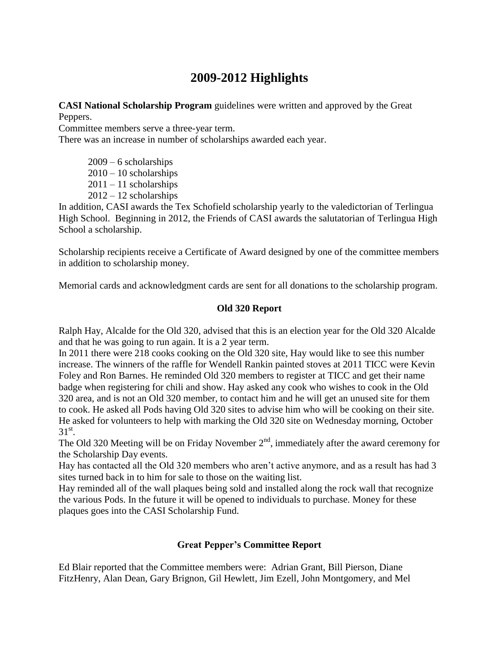# **2009-2012 Highlights**

**CASI National Scholarship Program** guidelines were written and approved by the Great Peppers.

Committee members serve a three-year term.

There was an increase in number of scholarships awarded each year.

 $2009 - 6$  scholarships  $2010 - 10$  scholarships  $2011 - 11$  scholarships 2012 – 12 scholarships

In addition, CASI awards the Tex Schofield scholarship yearly to the valedictorian of Terlingua High School. Beginning in 2012, the Friends of CASI awards the salutatorian of Terlingua High School a scholarship.

Scholarship recipients receive a Certificate of Award designed by one of the committee members in addition to scholarship money.

Memorial cards and acknowledgment cards are sent for all donations to the scholarship program.

# **Old 320 Report**

Ralph Hay, Alcalde for the Old 320, advised that this is an election year for the Old 320 Alcalde and that he was going to run again. It is a 2 year term.

In 2011 there were 218 cooks cooking on the Old 320 site, Hay would like to see this number increase. The winners of the raffle for Wendell Rankin painted stoves at 2011 TICC were Kevin Foley and Ron Barnes. He reminded Old 320 members to register at TICC and get their name badge when registering for chili and show. Hay asked any cook who wishes to cook in the Old 320 area, and is not an Old 320 member, to contact him and he will get an unused site for them to cook. He asked all Pods having Old 320 sites to advise him who will be cooking on their site. He asked for volunteers to help with marking the Old 320 site on Wednesday morning, October  $31^{\rm st}$ .

The Old 320 Meeting will be on Friday November  $2<sup>nd</sup>$ , immediately after the award ceremony for the Scholarship Day events.

Hay has contacted all the Old 320 members who aren't active anymore, and as a result has had 3 sites turned back in to him for sale to those on the waiting list.

Hay reminded all of the wall plaques being sold and installed along the rock wall that recognize the various Pods. In the future it will be opened to individuals to purchase. Money for these plaques goes into the CASI Scholarship Fund.

# **Great Pepper's Committee Report**

Ed Blair reported that the Committee members were: Adrian Grant, Bill Pierson, Diane FitzHenry, Alan Dean, Gary Brignon, Gil Hewlett, Jim Ezell, John Montgomery, and Mel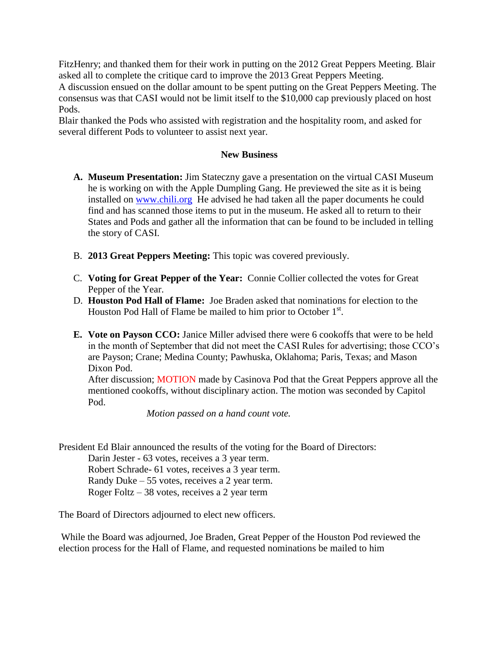FitzHenry; and thanked them for their work in putting on the 2012 Great Peppers Meeting. Blair asked all to complete the critique card to improve the 2013 Great Peppers Meeting.

A discussion ensued on the dollar amount to be spent putting on the Great Peppers Meeting. The consensus was that CASI would not be limit itself to the \$10,000 cap previously placed on host Pods.

Blair thanked the Pods who assisted with registration and the hospitality room, and asked for several different Pods to volunteer to assist next year.

#### **New Business**

- **A. Museum Presentation:** Jim Stateczny gave a presentation on the virtual CASI Museum he is working on with the Apple Dumpling Gang. He previewed the site as it is being installed on [www.chili.org](http://www.chili.org/) He advised he had taken all the paper documents he could find and has scanned those items to put in the museum. He asked all to return to their States and Pods and gather all the information that can be found to be included in telling the story of CASI.
- B. **2013 Great Peppers Meeting:** This topic was covered previously.
- C. **Voting for Great Pepper of the Year:** Connie Collier collected the votes for Great Pepper of the Year.
- D. **Houston Pod Hall of Flame:** Joe Braden asked that nominations for election to the Houston Pod Hall of Flame be mailed to him prior to October  $1<sup>st</sup>$ .
- **E. Vote on Payson CCO:** Janice Miller advised there were 6 cookoffs that were to be held in the month of September that did not meet the CASI Rules for advertising; those CCO's are Payson; Crane; Medina County; Pawhuska, Oklahoma; Paris, Texas; and Mason Dixon Pod.

After discussion; MOTION made by Casinova Pod that the Great Peppers approve all the mentioned cookoffs, without disciplinary action. The motion was seconded by Capitol Pod.

*Motion passed on a hand count vote.* 

President Ed Blair announced the results of the voting for the Board of Directors:

Darin Jester - 63 votes, receives a 3 year term. Robert Schrade- 61 votes, receives a 3 year term. Randy Duke – 55 votes, receives a 2 year term. Roger Foltz – 38 votes, receives a 2 year term

The Board of Directors adjourned to elect new officers.

While the Board was adjourned, Joe Braden, Great Pepper of the Houston Pod reviewed the election process for the Hall of Flame, and requested nominations be mailed to him